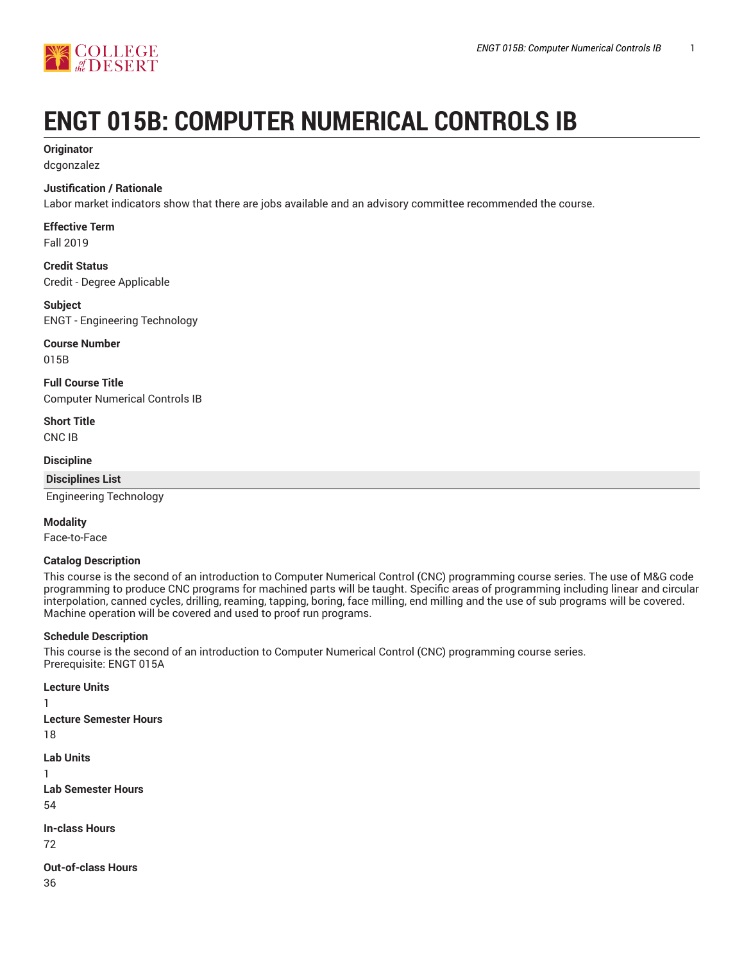

# **ENGT 015B: COMPUTER NUMERICAL CONTROLS IB**

#### **Originator**

dcgonzalez

#### **Justification / Rationale**

Labor market indicators show that there are jobs available and an advisory committee recommended the course.

## **Effective Term**

Fall 2019

#### **Credit Status** Credit - Degree Applicable

**Subject** ENGT - Engineering Technology

## **Course Number**

015B

**Full Course Title** Computer Numerical Controls IB

**Short Title** CNC IB

#### **Discipline**

**Disciplines List**

Engineering Technology

#### **Modality**

Face-to-Face

#### **Catalog Description**

This course is the second of an introduction to Computer Numerical Control (CNC) programming course series. The use of M&G code programming to produce CNC programs for machined parts will be taught. Specific areas of programming including linear and circular interpolation, canned cycles, drilling, reaming, tapping, boring, face milling, end milling and the use of sub programs will be covered. Machine operation will be covered and used to proof run programs.

#### **Schedule Description**

This course is the second of an introduction to Computer Numerical Control (CNC) programming course series. Prerequisite: ENGT 015A

**Lecture Units Lecture Semester Hours** 18 **Lab Units Lab Semester Hours** 54 **In-class Hours** 72 **Out-of-class Hours**

36

1

1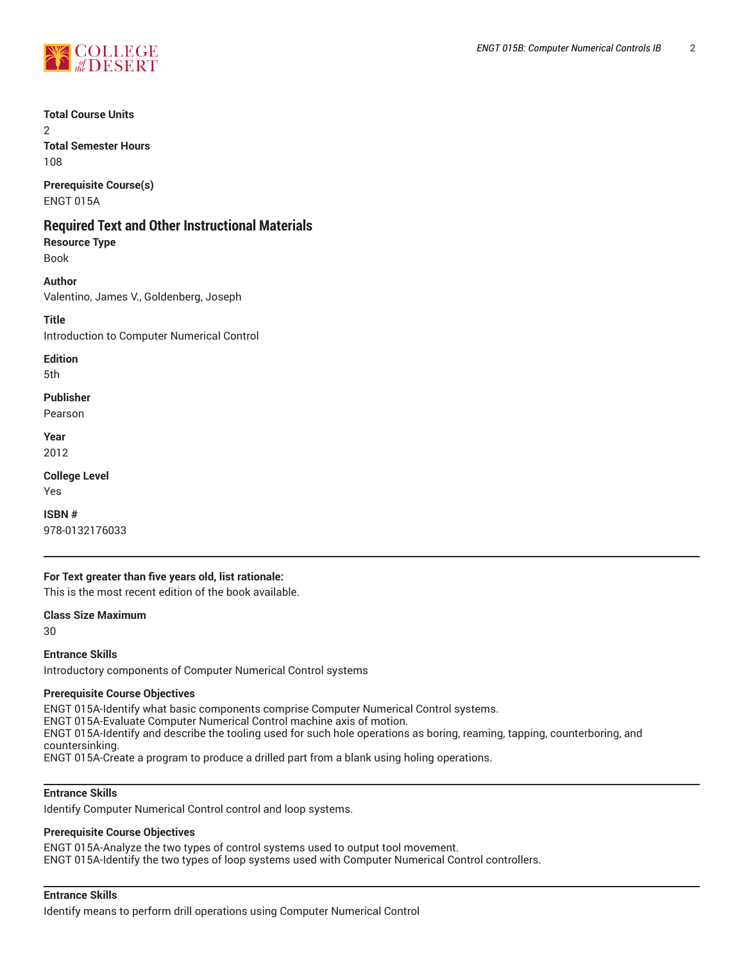

**Total Course Units**

 $\mathcal{L}$ **Total Semester Hours**

108 **Prerequisite Course(s)**

ENGT 015A

# **Required Text and Other Instructional Materials**

**Resource Type** Book

**Author** Valentino, James V., Goldenberg, Joseph

**Title**

Introduction to Computer Numerical Control

**Edition** 5th

**Publisher**

Pearson

**Year** 2012

**College Level** Yes

**ISBN #** 978-0132176033

#### **For Text greater than five years old, list rationale:**

This is the most recent edition of the book available.

**Class Size Maximum**

30

**Entrance Skills**

Introductory components of Computer Numerical Control systems

#### **Prerequisite Course Objectives**

ENGT 015A-Identify what basic components comprise Computer Numerical Control systems.

ENGT 015A-Evaluate Computer Numerical Control machine axis of motion.

ENGT 015A-Identify and describe the tooling used for such hole operations as boring, reaming, tapping, counterboring, and countersinking.

ENGT 015A-Create a program to produce a drilled part from a blank using holing operations.

#### **Entrance Skills**

Identify Computer Numerical Control control and loop systems.

# **Prerequisite Course Objectives**

ENGT 015A-Analyze the two types of control systems used to output tool movement. ENGT 015A-Identify the two types of loop systems used with Computer Numerical Control controllers.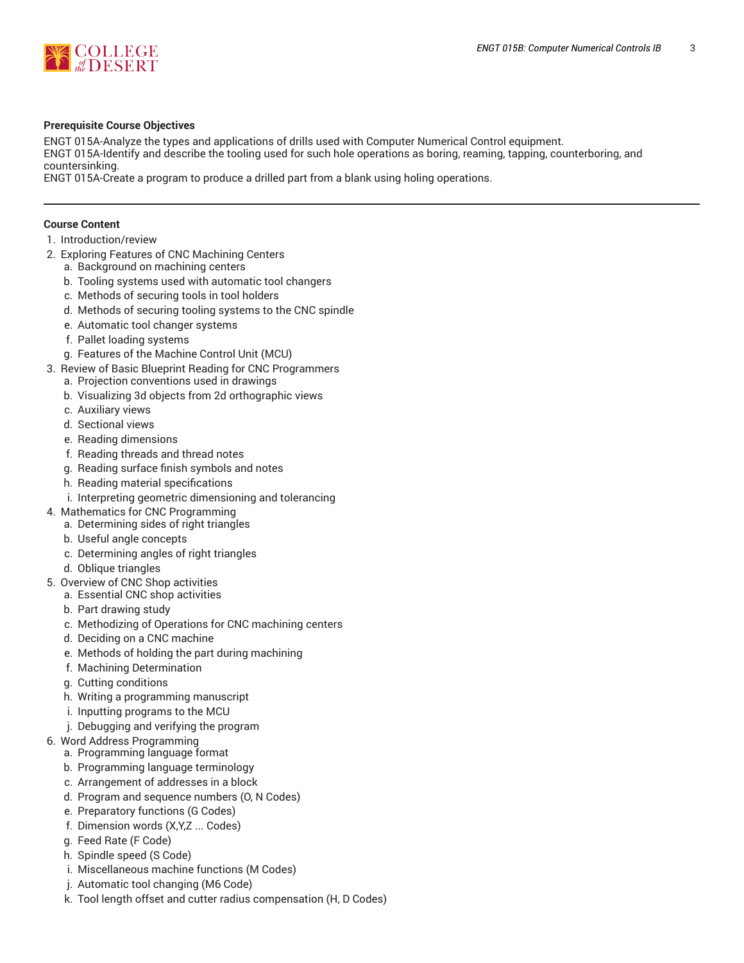

#### **Prerequisite Course Objectives**

ENGT 015A-Analyze the types and applications of drills used with Computer Numerical Control equipment. ENGT 015A-Identify and describe the tooling used for such hole operations as boring, reaming, tapping, counterboring, and countersinking.

ENGT 015A-Create a program to produce a drilled part from a blank using holing operations.

#### **Course Content**

- 1. Introduction/review
- 2. Exploring Features of CNC Machining Centers
	- a. Background on machining centers
	- b. Tooling systems used with automatic tool changers
	- c. Methods of securing tools in tool holders
	- d. Methods of securing tooling systems to the CNC spindle
	- e. Automatic tool changer systems
	- f. Pallet loading systems
	- g. Features of the Machine Control Unit (MCU)
- 3. Review of Basic Blueprint Reading for CNC Programmers
	- a. Projection conventions used in drawings
	- b. Visualizing 3d objects from 2d orthographic views
	- c. Auxiliary views
	- d. Sectional views
	- e. Reading dimensions
	- f. Reading threads and thread notes
	- g. Reading surface finish symbols and notes
	- h. Reading material specifications
	- i. Interpreting geometric dimensioning and tolerancing
- 4. Mathematics for CNC Programming
	- a. Determining sides of right triangles
	- b. Useful angle concepts
	- c. Determining angles of right triangles
	- d. Oblique triangles
- 5. Overview of CNC Shop activities
	- a. Essential CNC shop activities
	- b. Part drawing study
	- c. Methodizing of Operations for CNC machining centers
	- d. Deciding on a CNC machine
	- e. Methods of holding the part during machining
	- f. Machining Determination
	- g. Cutting conditions
	- h. Writing a programming manuscript
	- i. Inputting programs to the MCU
	- j. Debugging and verifying the program
- 6. Word Address Programming
	- a. Programming language format
	- b. Programming language terminology
	- c. Arrangement of addresses in a block
	- d. Program and sequence numbers (O, N Codes)
	- e. Preparatory functions (G Codes)
	- f. Dimension words (X,Y,Z ... Codes)
	- g. Feed Rate (F Code)
	- h. Spindle speed (S Code)
	- i. Miscellaneous machine functions (M Codes)
	- j. Automatic tool changing (M6 Code)
	- k. Tool length offset and cutter radius compensation (H, D Codes)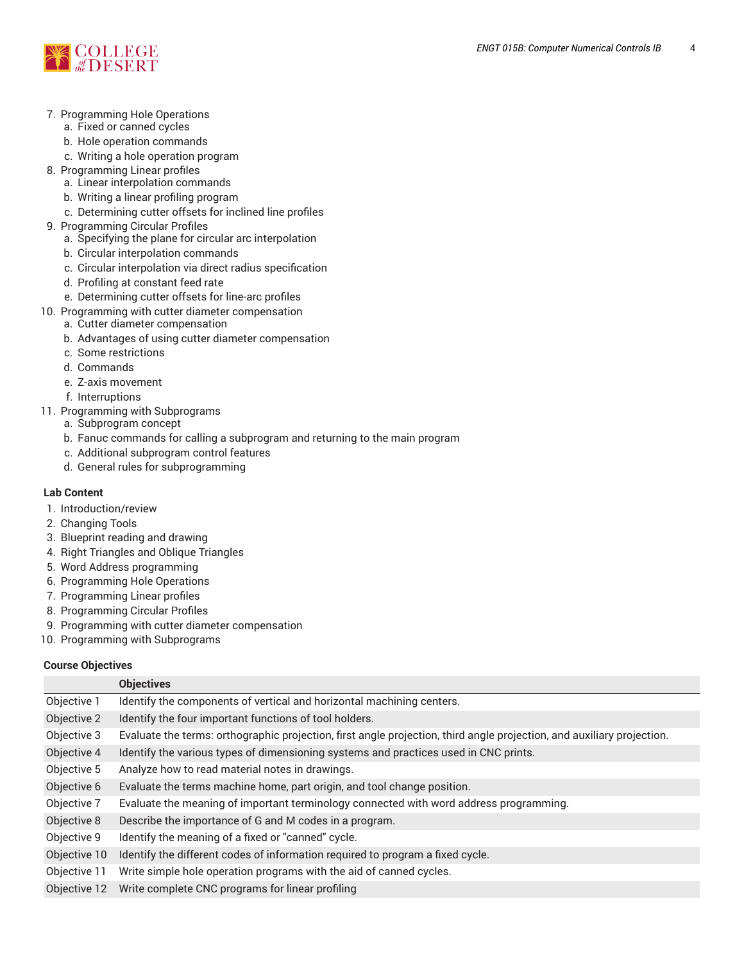

- 7. Programming Hole Operations
	- a. Fixed or canned cycles
	- b. Hole operation commands
	- c. Writing a hole operation program
- 8. Programming Linear profiles
	- a. Linear interpolation commands
	- b. Writing a linear profiling program
	- c. Determining cutter offsets for inclined line profiles
- 9. Programming Circular Profiles
	- a. Specifying the plane for circular arc interpolation
	- b. Circular interpolation commands
	- c. Circular interpolation via direct radius specification
	- d. Profiling at constant feed rate
	- e. Determining cutter offsets for line-arc profiles
- 10. Programming with cutter diameter compensation
	- a. Cutter diameter compensation
	- b. Advantages of using cutter diameter compensation
	- c. Some restrictions
	- d. Commands
	- e. Z-axis movement
	- f. Interruptions
- 11. Programming with Subprograms
	- a. Subprogram concept
	- b. Fanuc commands for calling a subprogram and returning to the main program
	- c. Additional subprogram control features
	- d. General rules for subprogramming

#### **Lab Content**

- 1. Introduction/review
- 2. Changing Tools
- 3. Blueprint reading and drawing
- 4. Right Triangles and Oblique Triangles
- 5. Word Address programming
- 6. Programming Hole Operations
- 7. Programming Linear profiles
- 8. Programming Circular Profiles
- 9. Programming with cutter diameter compensation
- 10. Programming with Subprograms

#### **Course Objectives**

|              | <b>Objectives</b>                                                                                                      |  |  |
|--------------|------------------------------------------------------------------------------------------------------------------------|--|--|
| Objective 1  | Identify the components of vertical and horizontal machining centers.                                                  |  |  |
| Objective 2  | Identify the four important functions of tool holders.                                                                 |  |  |
| Objective 3  | Evaluate the terms: orthographic projection, first angle projection, third angle projection, and auxiliary projection. |  |  |
| Objective 4  | Identify the various types of dimensioning systems and practices used in CNC prints.                                   |  |  |
| Objective 5  | Analyze how to read material notes in drawings.                                                                        |  |  |
| Objective 6  | Evaluate the terms machine home, part origin, and tool change position.                                                |  |  |
| Objective 7  | Evaluate the meaning of important terminology connected with word address programming.                                 |  |  |
| Objective 8  | Describe the importance of G and M codes in a program.                                                                 |  |  |
| Objective 9  | Identify the meaning of a fixed or "canned" cycle.                                                                     |  |  |
| Objective 10 | Identify the different codes of information required to program a fixed cycle.                                         |  |  |
| Objective 11 | Write simple hole operation programs with the aid of canned cycles.                                                    |  |  |
| Objective 12 | Write complete CNC programs for linear profiling                                                                       |  |  |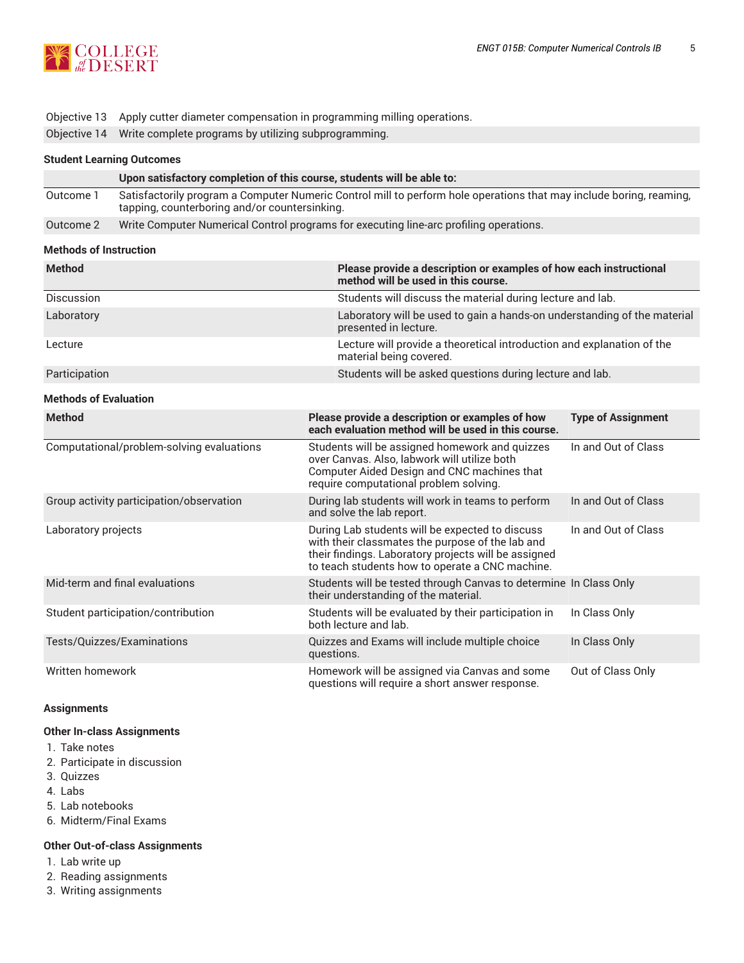

#### Objective 13 Apply cutter diameter compensation in programming milling operations.

Objective 14 Write complete programs by utilizing subprogramming.

#### **Student Learning Outcomes**

|           | Upon satisfactory completion of this course, students will be able to:                                                                                               |
|-----------|----------------------------------------------------------------------------------------------------------------------------------------------------------------------|
| Outcome 1 | Satisfactorily program a Computer Numeric Control mill to perform hole operations that may include boring, reaming,<br>tapping, counterboring and/or countersinking. |
| Outcome 2 | Write Computer Numerical Control programs for executing line-arc profiling operations.                                                                               |

#### **Methods of Instruction**

| <b>Method</b>                             | Please provide a description or examples of how each instructional<br>method will be used in this course.                                                                                                      |                                                                          |  |  |
|-------------------------------------------|----------------------------------------------------------------------------------------------------------------------------------------------------------------------------------------------------------------|--------------------------------------------------------------------------|--|--|
| Discussion                                |                                                                                                                                                                                                                | Students will discuss the material during lecture and lab.               |  |  |
| Laboratory                                | presented in lecture.                                                                                                                                                                                          | Laboratory will be used to gain a hands-on understanding of the material |  |  |
| Lecture                                   | Lecture will provide a theoretical introduction and explanation of the<br>material being covered.                                                                                                              |                                                                          |  |  |
| Participation                             |                                                                                                                                                                                                                | Students will be asked questions during lecture and lab.                 |  |  |
| <b>Methods of Evaluation</b>              |                                                                                                                                                                                                                |                                                                          |  |  |
| <b>Method</b>                             | Please provide a description or examples of how<br>each evaluation method will be used in this course.                                                                                                         | <b>Type of Assignment</b>                                                |  |  |
| Computational/problem-solving evaluations | Students will be assigned homework and quizzes<br>over Canvas. Also, labwork will utilize both<br>Computer Aided Design and CNC machines that<br>require computational problem solving.                        | In and Out of Class                                                      |  |  |
| Group activity participation/observation  | During lab students will work in teams to perform<br>and solve the lab report.                                                                                                                                 | In and Out of Class                                                      |  |  |
| Laboratory projects                       | During Lab students will be expected to discuss<br>with their classmates the purpose of the lab and<br>their findings. Laboratory projects will be assigned<br>to teach students how to operate a CNC machine. | In and Out of Class                                                      |  |  |
| Mid-term and final evaluations            | Students will be tested through Canvas to determine In Class Only<br>their understanding of the material.                                                                                                      |                                                                          |  |  |
| Student participation/contribution        | Students will be evaluated by their participation in<br>both lecture and lab.                                                                                                                                  | In Class Only                                                            |  |  |
| Tests/Quizzes/Examinations                | Quizzes and Exams will include multiple choice<br>questions.                                                                                                                                                   | In Class Only                                                            |  |  |
| Written homework                          | Homework will be assigned via Canvas and some<br>questions will require a short answer response.                                                                                                               | Out of Class Only                                                        |  |  |

#### **Assignments**

#### **Other In-class Assignments**

- 1. Take notes
- 2. Participate in discussion
- 3. Quizzes
- 4. Labs
- 5. Lab notebooks
- 6. Midterm/Final Exams

#### **Other Out-of-class Assignments**

- 1. Lab write up
- 2. Reading assignments
- 3. Writing assignments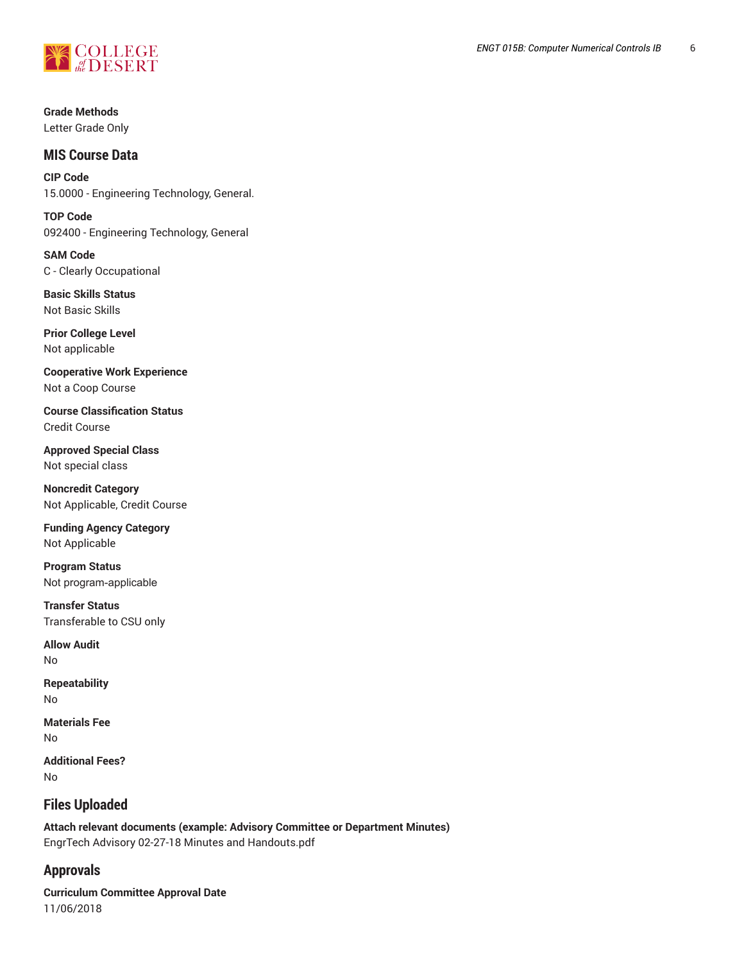

**Grade Methods** Letter Grade Only

# **MIS Course Data**

**CIP Code** 15.0000 - Engineering Technology, General.

**TOP Code** 092400 - Engineering Technology, General

**SAM Code** C - Clearly Occupational

**Basic Skills Status** Not Basic Skills

**Prior College Level** Not applicable

**Cooperative Work Experience** Not a Coop Course

**Course Classification Status** Credit Course

**Approved Special Class** Not special class

**Noncredit Category** Not Applicable, Credit Course

**Funding Agency Category** Not Applicable

**Program Status** Not program-applicable

**Transfer Status** Transferable to CSU only

**Allow Audit** No

**Repeatability** No

**Materials Fee** No

**Additional Fees?** No

# **Files Uploaded**

**Attach relevant documents (example: Advisory Committee or Department Minutes)**  EngrTech Advisory 02-27-18 Minutes and Handouts.pdf

# **Approvals**

**Curriculum Committee Approval Date** 11/06/2018